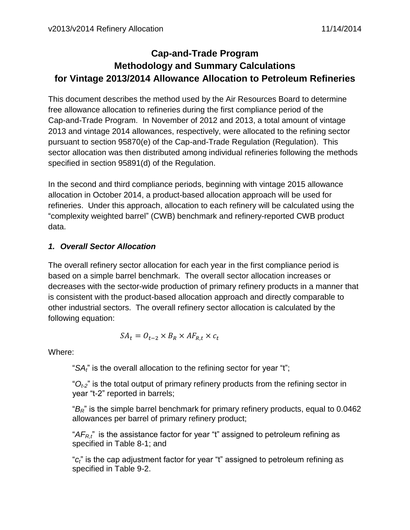# **Cap-and-Trade Program Methodology and Summary Calculations for Vintage 2013/2014 Allowance Allocation to Petroleum Refineries**

This document describes the method used by the Air Resources Board to determine free allowance allocation to refineries during the first compliance period of the Cap-and-Trade Program. In November of 2012 and 2013, a total amount of vintage 2013 and vintage 2014 allowances, respectively, were allocated to the refining sector pursuant to section 95870(e) of the Cap-and-Trade Regulation (Regulation). This sector allocation was then distributed among individual refineries following the methods specified in section 95891(d) of the Regulation.

In the second and third compliance periods, beginning with vintage 2015 allowance allocation in October 2014, a product-based allocation approach will be used for refineries. Under this approach, allocation to each refinery will be calculated using the "complexity weighted barrel" (CWB) benchmark and refinery-reported CWB product data.

## *1. Overall Sector Allocation*

The overall refinery sector allocation for each year in the first compliance period is based on a simple barrel benchmark. The overall sector allocation increases or decreases with the sector-wide production of primary refinery products in a manner that is consistent with the product-based allocation approach and directly comparable to other industrial sectors. The overall refinery sector allocation is calculated by the following equation:

$$
SA_t = O_{t-2} \times B_R \times AF_{R,t} \times c_t
$$

Where:

"*SAt*" is the overall allocation to the refining sector for year "t";

" $O_{t2}$ " is the total output of primary refinery products from the refining sector in year "t-2" reported in barrels;

"*BR*" is the simple barrel benchmark for primary refinery products, equal to 0.0462 allowances per barrel of primary refinery product;

"*AFR,t*" is the assistance factor for year "t" assigned to petroleum refining as specified in Table 8-1; and

"*ct*" is the cap adjustment factor for year "t" assigned to petroleum refining as specified in Table 9-2.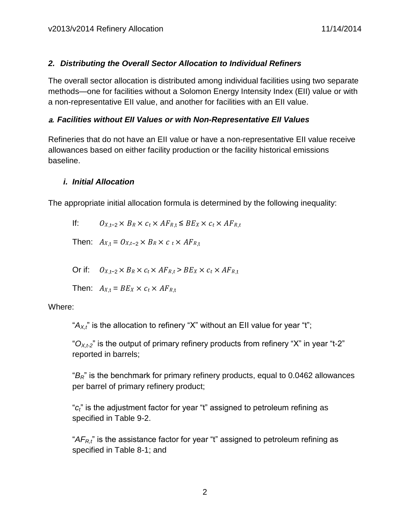#### *2. Distributing the Overall Sector Allocation to Individual Refiners*

The overall sector allocation is distributed among individual facilities using two separate methods—one for facilities without a Solomon Energy Intensity Index (EII) value or with a non-representative EII value, and another for facilities with an EII value.

#### a. *Facilities without EII Values or with Non-Representative EII Values*

Refineries that do not have an EII value or have a non-representative EII value receive allowances based on either facility production or the facility historical emissions baseline.

### *i. Initial Allocation*

The appropriate initial allocation formula is determined by the following inequality:

If:  $O_{X,t-2} \times B_R \times c_t \times AF_{R,t} \leq BE_X \times c_t \times AF_{R,t}$ 

Then:  $A_{X,t} = O_{X,t-2} \times B_R \times c_t \times AF_{R,t}$ 

Or if:  $O_{X,t-2} \times B_R \times c_t \times AF_{R,t} > BE_X \times c_t \times AF_{R,t}$ 

Then:  $A_{X,t} = BE_X \times c_t \times AF_{R,t}$ 

Where:

" $A_{X,t}$ " is the allocation to refinery "X" without an EII value for year "t";

" $O_{X,t2}$ " is the output of primary refinery products from refinery "X" in year "t-2" reported in barrels;

"*BR*" is the benchmark for primary refinery products, equal to 0.0462 allowances per barrel of primary refinery product;

"*ct*" is the adjustment factor for year "t" assigned to petroleum refining as specified in Table 9-2.

"*AFR,t*" is the assistance factor for year "t" assigned to petroleum refining as specified in Table 8-1; and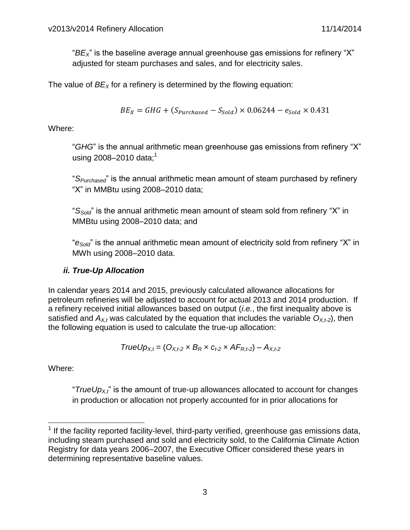"*BEX*" is the baseline average annual greenhouse gas emissions for refinery "X" adjusted for steam purchases and sales, and for electricity sales.

The value of *BE<sup>X</sup>* for a refinery is determined by the flowing equation:

$$
BE_X = GHG + (S_{\text{Purchased}} - S_{\text{Sold}}) \times 0.06244 - e_{\text{Sold}} \times 0.431
$$

Where:

"*GHG*" is the annual arithmetic mean greenhouse gas emissions from refinery "X" using 2008–2010 data;<sup>1</sup>

"*SPurchased*" is the annual arithmetic mean amount of steam purchased by refinery "X" in MMBtu using 2008–2010 data;

"*SSold*" is the annual arithmetic mean amount of steam sold from refinery "X" in MMBtu using 2008–2010 data; and

"*eSold*" is the annual arithmetic mean amount of electricity sold from refinery "X" in MWh using 2008–2010 data.

#### *ii. True-Up Allocation*

In calendar years 2014 and 2015, previously calculated allowance allocations for petroleum refineries will be adjusted to account for actual 2013 and 2014 production. If a refinery received initial allowances based on output (*i.e.*, the first inequality above is satisfied and  $A_{X,t}$  was calculated by the equation that includes the variable  $O_{X,t-2}$ ), then the following equation is used to calculate the true-up allocation:

$$
TrueUp_{X,t} = (O_{X,t-2} \times B_R \times c_{t-2} \times AF_{R,t-2}) - A_{X,t-2}
$$

Where:

"*TrueUp<sub>X,t</sub>*" is the amount of true-up allowances allocated to account for changes in production or allocation not properly accounted for in prior allocations for

**The factally reported facility-level, third-party verified, greenhouse gas emissions data,** including steam purchased and sold and electricity sold, to the California Climate Action Registry for data years 2006–2007, the Executive Officer considered these years in determining representative baseline values.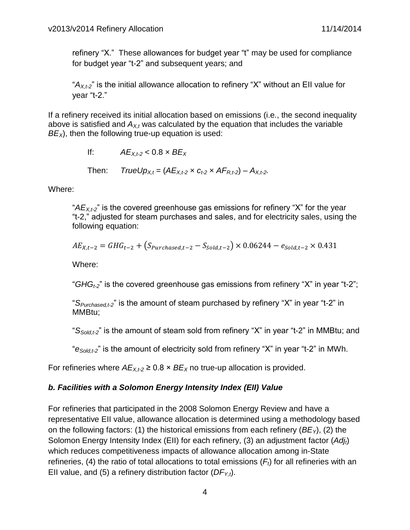refinery "X." These allowances for budget year "t" may be used for compliance for budget year "t-2" and subsequent years; and

"*AX,t-2*" is the initial allowance allocation to refinery "X" without an EII value for year "t-2."

If a refinery received its initial allocation based on emissions (i.e., the second inequality above is satisfied and  $A_{X,t}$  was calculated by the equation that includes the variable  $BE<sub>x</sub>$ ), then the following true-up equation is used:

If:  $AE_{X,t-2} < 0.8 \times BE_X$ 

Then: *TrueUp*<sub> $X_t$ </sub> = ( $A E_{X_t}$  ×  $C_t$  ×  $A F_{R_t}$  + 2) –  $A_{X_t}$  + 2.

Where:

"*AEX,t-2*" is the covered greenhouse gas emissions for refinery "X" for the year "t-2," adjusted for steam purchases and sales, and for electricity sales, using the following equation:

$$
AE_{X,t-2} = GHG_{t-2} + (S_{Purchased,t-2} - S_{Sold,t-2}) \times 0.06244 - e_{Sold,t-2} \times 0.431
$$

Where:

"*GHGt-2*" is the covered greenhouse gas emissions from refinery "X" in year "t-2";

"*SPurchased,t-2*" is the amount of steam purchased by refinery "X" in year "t-2" in MMBtu;

"*SSold,t-2*" is the amount of steam sold from refinery "X" in year "t-2" in MMBtu; and

"*eSold,t-2*" is the amount of electricity sold from refinery "X" in year "t-2" in MWh.

For refineries where  $AE_{X,t2} \geq 0.8 \times BE_X$  no true-up allocation is provided.

#### *b. Facilities with a Solomon Energy Intensity Index (EII) Value*

For refineries that participated in the 2008 Solomon Energy Review and have a representative EII value, allowance allocation is determined using a methodology based on the following factors: (1) the historical emissions from each refinery (*BEY*), (2) the Solomon Energy Intensity Index (EII) for each refinery, (3) an adjustment factor (*Adjt*) which reduces competitiveness impacts of allowance allocation among in-State refineries, (4) the ratio of total allocations to total emissions  $(F_t)$  for all refineries with an EII value, and (5) a refinery distribution factor  $(DF_{Y,t})$ .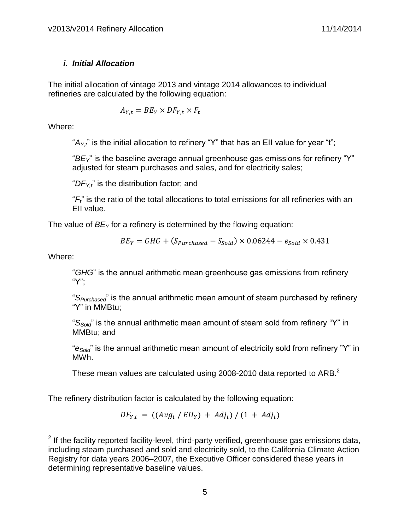#### *i. Initial Allocation*

The initial allocation of vintage 2013 and vintage 2014 allowances to individual refineries are calculated by the following equation:

$$
A_{Y,t} = BE_Y \times DF_{Y,t} \times F_t
$$

Where:

" $A_{Y_t}$ " is the initial allocation to refinery "Y" that has an EII value for year "t";

"*BEY*" is the baseline average annual greenhouse gas emissions for refinery "Y" adjusted for steam purchases and sales, and for electricity sales;

" $DF_{Y,t}$ " is the distribution factor; and

"*Ft*" is the ratio of the total allocations to total emissions for all refineries with an EII value.

The value of *BE<sup>Y</sup>* for a refinery is determined by the flowing equation:

$$
BE_Y = GHG + (S_{\text{Purchased}} - S_{\text{Sold}}) \times 0.06244 - e_{\text{Sold}} \times 0.431
$$

Where:

 $\overline{a}$ 

"*GHG*" is the annual arithmetic mean greenhouse gas emissions from refinery "Y";

"*SPurchased*" is the annual arithmetic mean amount of steam purchased by refinery "Y" in MMBtu;

"*SSold*" is the annual arithmetic mean amount of steam sold from refinery "Y" in MMBtu; and

"*eSold*" is the annual arithmetic mean amount of electricity sold from refinery "Y" in MWh.

These mean values are calculated using 2008-2010 data reported to ARB. $<sup>2</sup>$ </sup>

The refinery distribution factor is calculated by the following equation:

$$
DF_{Y,t} = ((Avg_t / Ell_Y) + Adj_t) / (1 + Adj_t)
$$

 $2$  If the facility reported facility-level, third-party verified, greenhouse gas emissions data, including steam purchased and sold and electricity sold, to the California Climate Action Registry for data years 2006–2007, the Executive Officer considered these years in determining representative baseline values.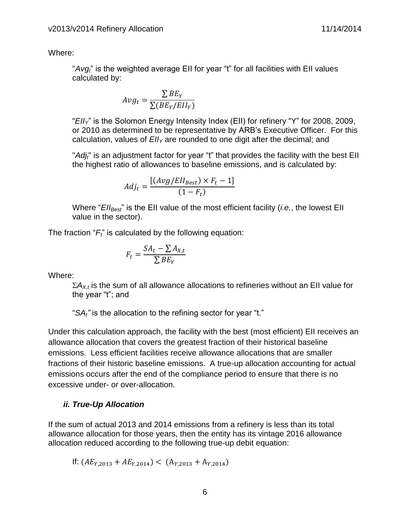Where:

"*Avgt*" is the weighted average EII for year "t" for all facilities with EII values calculated by:

$$
Avg_t = \frac{\sum BE_Y}{\sum (BE_Y/EII_Y)}
$$

"*EIIY*" is the Solomon Energy Intensity Index (EII) for refinery "Y" for 2008, 2009, or 2010 as determined to be representative by ARB's Executive Officer. For this calculation, values of *EII<sup>Y</sup>* are rounded to one digit after the decimal; and

"*Adjt*" is an adjustment factor for year "t" that provides the facility with the best EII the highest ratio of allowances to baseline emissions, and is calculated by:

$$
Adj_{t} = \frac{[(Avg/Ell_{Best}) \times F_{t} - 1]}{(1 - F_{t})}
$$

Where "*EIIBest*" is the EII value of the most efficient facility (*i.e.*, the lowest EII value in the sector).

The fraction "*Ft*" is calculated by the following equation:

$$
F_t = \frac{SA_t - \sum A_{X,t}}{\sum BE_Y}
$$

Where:

 $\sum A_{X,t}$  is the sum of all allowance allocations to refineries without an EII value for the year "t"; and

"*SAt"* is the allocation to the refining sector for year "t."

Under this calculation approach, the facility with the best (most efficient) EII receives an allowance allocation that covers the greatest fraction of their historical baseline emissions. Less efficient facilities receive allowance allocations that are smaller fractions of their historic baseline emissions. A true-up allocation accounting for actual emissions occurs after the end of the compliance period to ensure that there is no excessive under- or over-allocation.

#### *ii. True-Up Allocation*

If the sum of actual 2013 and 2014 emissions from a refinery is less than its total allowance allocation for those years, then the entity has its vintage 2016 allowance allocation reduced according to the following true-up debit equation:

If: 
$$
(AE_{Y,2013} + AE_{Y,2014}) < (A_{Y,2013} + A_{Y,2014})
$$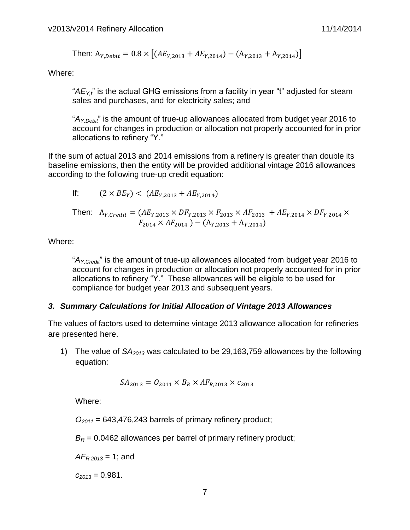Then: 
$$
A_{Y,Debit} = 0.8 \times \left[ (AE_{Y,2013} + AE_{Y,2014}) - (A_{Y,2013} + A_{Y,2014}) \right]
$$

Where:

"*AEY,t*" is the actual GHG emissions from a facility in year "t" adjusted for steam sales and purchases, and for electricity sales; and

"*AY,Debit*" is the amount of true-up allowances allocated from budget year 2016 to account for changes in production or allocation not properly accounted for in prior allocations to refinery "Y."

If the sum of actual 2013 and 2014 emissions from a refinery is greater than double its baseline emissions, then the entity will be provided additional vintage 2016 allowances according to the following true-up credit equation:

If: 
$$
(2 \times BE_Y) < (AE_{Y,2013} + AE_{Y,2014})
$$

Then: 
$$
A_{Y, Credit} = (AE_{Y,2013} \times DF_{Y,2013} \times F_{2013} \times AF_{2013} + AE_{Y,2014} \times DF_{Y,2014} \times F_{2014} \times AF_{2014}) - (A_{Y,2013} + A_{Y,2014})
$$

Where:

"*AY,Credit*" is the amount of true-up allowances allocated from budget year 2016 to account for changes in production or allocation not properly accounted for in prior allocations to refinery "Y." These allowances will be eligible to be used for compliance for budget year 2013 and subsequent years.

#### *3. Summary Calculations for Initial Allocation of Vintage 2013 Allowances*

The values of factors used to determine vintage 2013 allowance allocation for refineries are presented here.

1) The value of *SA<sup>2013</sup>* was calculated to be 29,163,759 allowances by the following equation:

$$
SA_{2013} = O_{2011} \times B_R \times AF_{R,2013} \times c_{2013}
$$

Where:

*O<sup>2011</sup>* = 643,476,243 barrels of primary refinery product;

 $B_R$  = 0.0462 allowances per barrel of primary refinery product;

*AFR,2013* = 1; and

*c<sup>2013</sup>* = 0.981.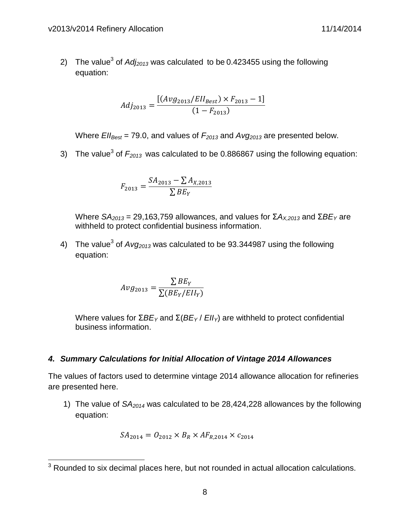2) The value<sup>3</sup> of  $Adj_{2013}$  was calculated to be 0.423455 using the following equation:

$$
Adj_{2013} = \frac{[(Avg_{2013}/Ell_{Best}) \times F_{2013} - 1]}{(1 - F_{2013})}
$$

Where  $Ell_{\text{Best}} = 79.0$ , and values of  $F_{2013}$  and  $Avg_{2013}$  are presented below.

3) The value<sup>3</sup> of  $F_{2013}$  was calculated to be 0.886867 using the following equation:

$$
F_{2013} = \frac{SA_{2013} - \sum A_{X,2013}}{\sum BE_Y}
$$

Where *SA*<sub>2013</sub> = 29,163,759 allowances, and values for Σ $A_{X,2013}$  and Σ $BE_Y$  are withheld to protect confidential business information.

4) The value<sup>3</sup> of *Avg<sub>2013</sub>* was calculated to be 93.344987 using the following equation:

$$
Avg_{2013} = \frac{\sum BE_Y}{\sum (BE_Y/EII_Y)}
$$

Where values for  $\Sigma BE_Y$  and  $\Sigma$ ( $BE_Y$  /  $EII_Y$ ) are withheld to protect confidential business information.

#### *4. Summary Calculations for Initial Allocation of Vintage 2014 Allowances*

The values of factors used to determine vintage 2014 allowance allocation for refineries are presented here.

1) The value of *SA<sup>2014</sup>* was calculated to be 28,424,228 allowances by the following equation:

$$
SA_{2014} = O_{2012} \times B_R \times AF_{R,2014} \times c_{2014}
$$

 $\overline{a}$ 

 $3$  Rounded to six decimal places here, but not rounded in actual allocation calculations.